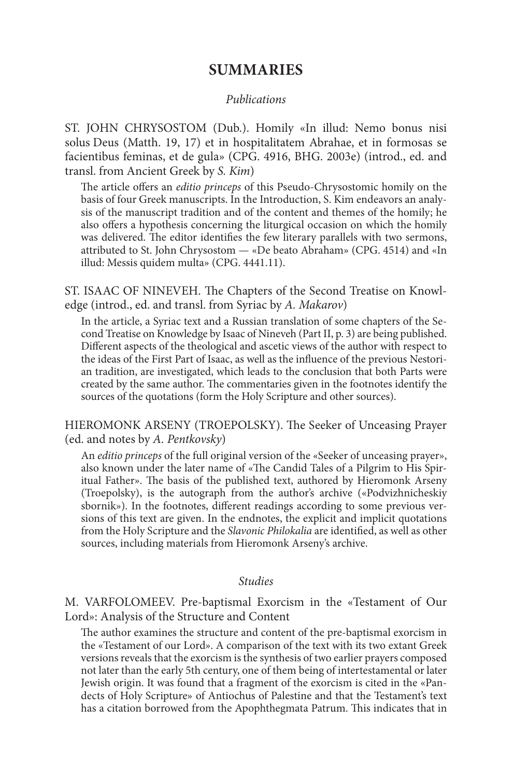## **SUMMARIES**

## *Publications*

ST. JOHN CHRYSOSTOM (Dub.). Homily «In illud: Nemo bonus nisi solus Deus (Matth. 19, 17) et in hospitalitatem Abrahae, et in formosas se facientibus feminas, et de gula» (CPG. 4916, BHG. 2003e) (introd., ed. and transl. from Ancient Greek by *S. Kim*)

The article offers an *editio princeps* of this Pseudo-Chrysostomic homily on the basis of four Greek manuscripts. In the Introduction, S. Kim endeavors an analysis of the manuscript tradition and of the content and themes of the homily; he also offers a hypothesis concerning the liturgical occasion on which the homily was delivered. The editor identifies the few literary parallels with two sermons, attributed to St. John Chrysostom — «De beato Abraham» (CPG. 4514) and «In illud: Messis quidem multa» (CPG. 4441.11).

ST. ISAAC OF NINEVEH. The Chapters of the Second Treatise on Knowledge (introd., ed. and transl. from Syriac by *A. Makarov*)

In the article, a Syriac text and a Russian translation of some chapters of the Second Treatise on Knowledge by Isaac of Nineveh (Part II, p. 3) are being published. Different aspects of the theological and ascetic views of the author with respect to the ideas of the First Part of Isaac, as well as the influence of the previous Nestorian tradition, are investigated, which leads to the conclusion that both Parts were created by the same author. The commentaries given in the footnotes identify the sources of the quotations (form the Holy Scripture and other sources).

HIEROMONK ARSENY (TROEPOLSKY). The Seeker of Unceasing Prayer (ed. and notes by *A. Pentkovsky*)

An *editio princeps* of the full original version of the «Seeker of unceasing prayer», also known under the later name of «The Candid Tales of a Pilgrim to His Spiritual Father». The basis of the published text, authored by Hieromonk Arseny (Troepolsky), is the autograph from the author's archive («Podvizhnicheskiy sbornik»). In the footnotes, different readings according to some previous versions of this text are given. In the endnotes, the explicit and implicit quotations from the Holy Scripture and the *Slavonic Philokalia* are identified, as well as other sources, including materials from Hieromonk Arseny's archive.

## *Studies*

M. VARFOLOMEEV. Pre-baptismal Exorcism in the «Testament of Our Lord»: Analysis of the Structure and Content

The author examines the structure and content of the pre-baptismal exorcism in the «Testament of our Lord». A comparison of the text with its two extant Greek versions reveals that the exorcism is the synthesis of two earlier prayers composed not later than the early 5th century, one of them being of intertestamental or later Jewish origin. It was found that a fragment of the exorcism is cited in the «Pandects of Holy Scripture» of Antiochus of Palestine and that the Testament's text has a citation borrowed from the Apophthegmata Patrum. This indicates that in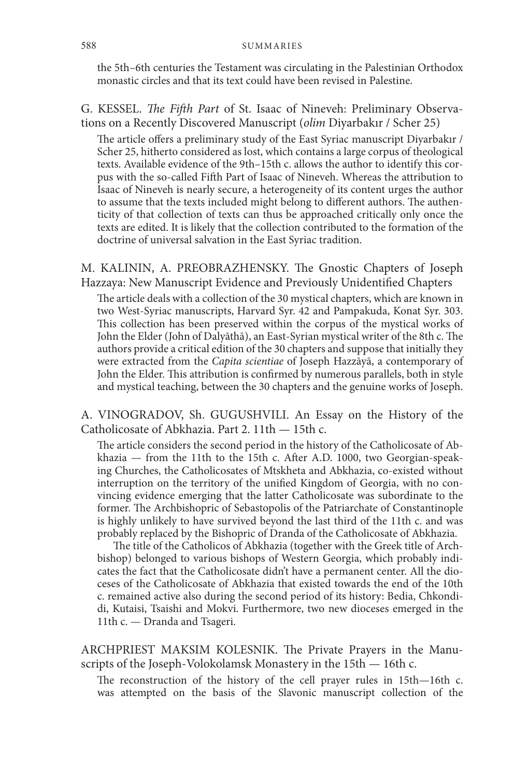the 5th–6th centuries the Testament was circulating in the Palestinian Orthodox monastic circles and that its text could have been revised in Palestine.

G. KESSEL. *The Fifth Part* of St. Isaac of Nineveh: Preliminary Observations on a Recently Discovered Manuscript (*olim* Diyarbakır / Scher 25)

The article offers a preliminary study of the East Syriac manuscript Diyarbakır / Scher 25, hitherto considered as lost, which contains a large corpus of theological texts. Available evidence of the 9th–15th c. allows the author to identify this corpus with the so-called Fifth Part of Isaac of Nineveh. Whereas the attribution to Isaac of Nineveh is nearly secure, a heterogeneity of its content urges the author to assume that the texts included might belong to different authors. The authenticity of that collection of texts can thus be approached critically only once the texts are edited. It is likely that the collection contributed to the formation of the doctrine of universal salvation in the East Syriac tradition.

M. KALININ, A. PREOBRAZHENSKY. The Gnostic Chapters of Joseph Hazzaya: New Manuscript Evidence and Previously Unidentified Chapters

The article deals with a collection of the 30 mystical chapters, which are known in two West-Syriac manuscripts, Harvard Syr. 42 and Pampakuda, Konat Syr. 303. This collection has been preserved within the corpus of the mystical works of John the Elder (John of Dalyāthā), an East-Syrian mystical writer of the 8th c. The authors provide a critical edition of the 30 chapters and suppose that initially they were extracted from the *Capita scientiae* of Joseph Hazzāyā, a contemporary of John the Elder. This attribution is confirmed by numerous parallels, both in style and mystical teaching, between the 30 chapters and the genuine works of Joseph.

A. VINOGRADOV, Sh. GUGUSHVILI. An Essay on the History of the Catholicosate of Abkhazia. Part 2. 11th — 15th c.

The article considers the second period in the history of the Catholicosate of Abkhazia — from the 11th to the 15th c. After A.D. 1000, two Georgian-speaking Churches, the Catholicosates of Mtskheta and Abkhazia, co-existed without interruption on the territory of the unified Kingdom of Georgia, with no convincing evidence emerging that the latter Catholicosate was subordinate to the former. The Archbishopric of Sebastopolis of the Patriarchate of Constantinople is highly unlikely to have survived beyond the last third of the 11th c. and was probably replaced by the Bishopric of Dranda of the Catholicosate of Abkhazia.

The title of the Catholicos of Abkhazia (together with the Greek title of Archbishop) belonged to various bishops of Western Georgia, which probably indicates the fact that the Catholicosate didn't have a permanent center. All the dioceses of the Catholicosate of Abkhazia that existed towards the end of the 10th c. remained active also during the second period of its history: Bedia, Chkondidi, Kutaisi, Tsaishi and Mokvi. Furthermore, two new dioceses emerged in the 11th c. — Dranda and Tsageri.

ARCHPRIEST MAKSIM KOLESNIK. The Private Prayers in the Manuscripts of the Joseph-Volokolamsk Monastery in the 15th — 16th c.

The reconstruction of the history of the cell prayer rules in 15th—16th c. was attempted on the basis of the Slavonic manuscript collection of the